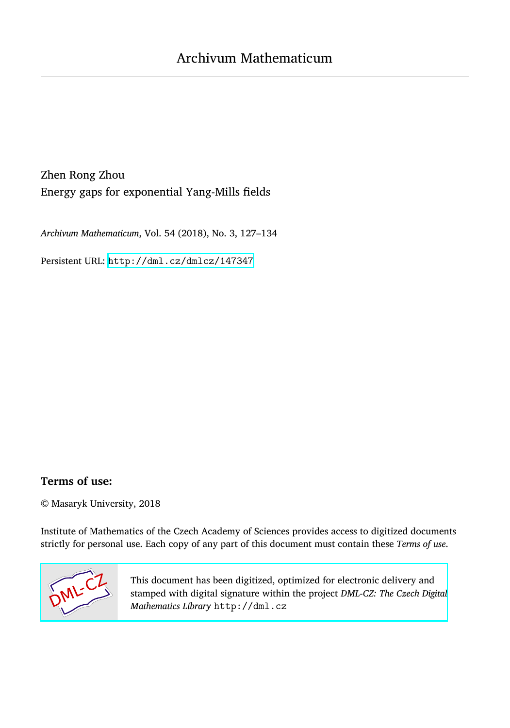Zhen Rong Zhou Energy gaps for exponential Yang-Mills fields

*Archivum Mathematicum*, Vol. 54 (2018), No. 3, 127–134

Persistent URL: <http://dml.cz/dmlcz/147347>

# **Terms of use:**

© Masaryk University, 2018

Institute of Mathematics of the Czech Academy of Sciences provides access to digitized documents strictly for personal use. Each copy of any part of this document must contain these *Terms of use*.



[This document has been digitized, optimized for electronic delivery and](http://dml.cz) stamped with digital signature within the project *DML-CZ: The Czech Digital Mathematics Library* http://dml.cz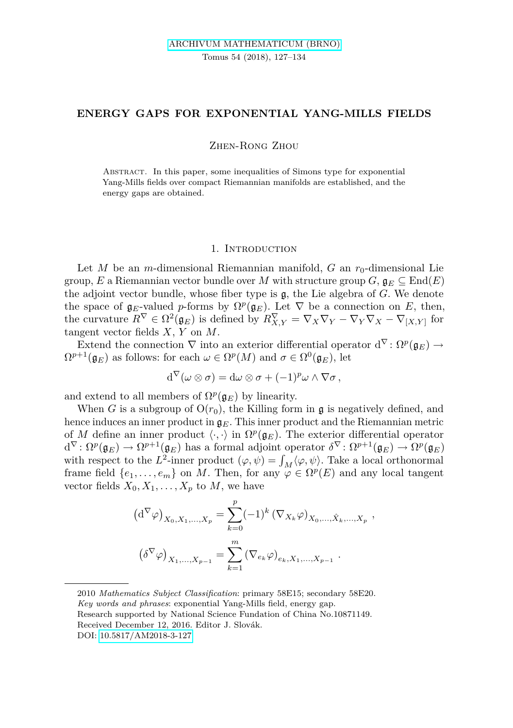## **ENERGY GAPS FOR EXPONENTIAL YANG-MILLS FIELDS**

Zhen-Rong Zhou

Abstract. In this paper, some inequalities of Simons type for exponential Yang-Mills fields over compact Riemannian manifolds are established, and the energy gaps are obtained.

#### 1. INTRODUCTION

Let *M* be an *m*-dimensional Riemannian manifold, *G* an  $r_0$ -dimensional Lie group, *E* a Riemannian vector bundle over *M* with structure group  $G$ ,  $\mathfrak{g}_E \subseteq \text{End}(E)$ the adjoint vector bundle, whose fiber type is g, the Lie algebra of *G*. We denote the space of  $\mathfrak{g}_E$ -valued *p*-forms by  $\Omega^p(\mathfrak{g}_E)$ . Let  $\nabla$  be a connection on *E*, then, the curvature  $R^{\nabla} \in \Omega^2(\mathfrak{g}_E)$  is defined by  $R^{\nabla}_{X,Y} = \nabla_X \nabla_Y - \nabla_Y \nabla_X - \nabla_{[X,Y]}$  for tangent vector fields *X*, *Y* on *M*.

Extend the connection  $\nabla$  into an exterior differential operator  $d^{\nabla} \colon \Omega^p(\mathfrak{g}_E) \to$  $\Omega^{p+1}(\mathfrak{g}_E)$  as follows: for each  $\omega \in \Omega^p(M)$  and  $\sigma \in \Omega^0(\mathfrak{g}_E)$ , let

$$
\mathrm{d}^{\nabla}(\omega\otimes\sigma)=\mathrm{d}\omega\otimes\sigma+(-1)^p\omega\wedge\nabla\sigma\,,
$$

and extend to all members of  $\Omega^p(\mathfrak{g}_E)$  by linearity.

When *G* is a subgroup of  $O(r_0)$ , the Killing form in **g** is negatively defined, and hence induces an inner product in  $\mathfrak{g}_E$ . This inner product and the Riemannian metric of *M* define an inner product  $\langle \cdot, \cdot \rangle$  in  $\Omega^p(\mathfrak{g}_E)$ . The exterior differential operator  $d^{\nabla} \colon \Omega^p(\mathfrak{g}_E) \to \Omega^{p+1}(\mathfrak{g}_E)$  has a formal adjoint operator  $\delta^{\nabla} \colon \Omega^{p+1}(\mathfrak{g}_E) \to \Omega^p(\mathfrak{g}_E)$ with respect to the  $L^2$ -inner product  $(\varphi, \psi) = \int_M \langle \varphi, \psi \rangle$ . Take a local orthonormal frame field  $\{e_1, \ldots, e_m\}$  on *M*. Then, for any  $\varphi \in \Omega^p(E)$  and any local tangent vector fields  $X_0, X_1, \ldots, X_n$  to M, we have

$$
(d^{\nabla}\varphi)_{X_0, X_1, ..., X_p} = \sum_{k=0}^p (-1)^k (\nabla_{X_k} \varphi)_{X_0, ..., \hat{X}_k, ..., X_p} ,
$$

$$
(\delta^{\nabla} \varphi)_{X_1, ..., X_{p-1}} = \sum_{k=1}^m (\nabla_{e_k} \varphi)_{e_k, X_1, ..., X_{p-1}} .
$$

<sup>2010</sup> *Mathematics Subject Classification*: primary 58E15; secondary 58E20.

*Key words and phrases*: exponential Yang-Mills field, energy gap.

Research supported by National Science Fundation of China No.10871149.

Received December 12, 2016. Editor J. Slovák.

DOI: [10.5817/AM2018-3-127](http://dx.doi.org/10.5817/AM2018-3-127)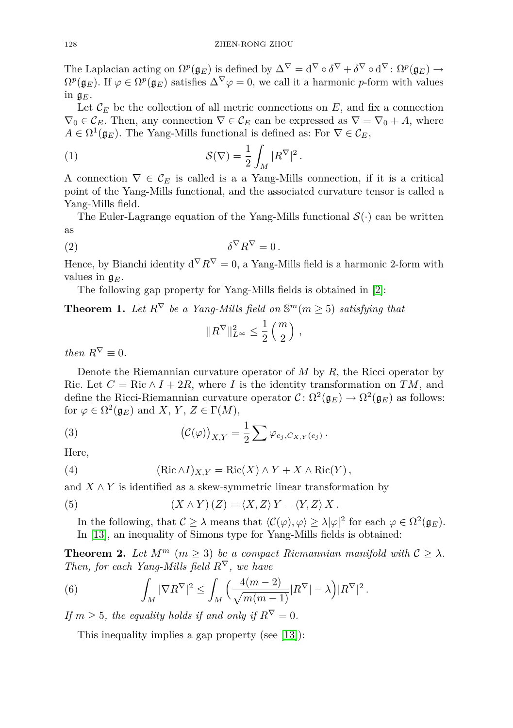The Laplacian acting on  $\Omega^p(\mathfrak{g}_E)$  is defined by  $\Delta^{\nabla} = \mathrm{d}^{\nabla} \circ \delta^{\nabla} + \delta^{\nabla} \circ \mathrm{d}^{\nabla} : \Omega^p(\mathfrak{g}_E) \to$  $\Omega^p(\mathfrak{g}_E)$ . If  $\varphi \in \Omega^p(\mathfrak{g}_E)$  satisfies  $\Delta^{\nabla}\varphi = 0$ , we call it a harmonic *p*-form with values in  $\mathfrak{g}_E$ .

Let  $\mathcal{C}_E$  be the collection of all metric connections on  $E$ , and fix a connection  $\nabla_0 \in \mathcal{C}_E$ . Then, any connection  $\nabla \in \mathcal{C}_E$  can be expressed as  $\nabla = \nabla_0 + A$ , where  $A \in \Omega^1(\mathfrak{g}_E)$ . The Yang-Mills functional is defined as: For  $\nabla \in \mathcal{C}_E$ ,

(1) 
$$
\mathcal{S}(\nabla) = \frac{1}{2} \int_M |R^{\nabla}|^2.
$$

A connection  $\nabla \in \mathcal{C}_E$  is called is a a Yang-Mills connection, if it is a critical point of the Yang-Mills functional, and the associated curvature tensor is called a Yang-Mills field.

The Euler-Lagrange equation of the Yang-Mills functional  $\mathcal{S}(\cdot)$  can be written as

$$
\delta^{\nabla} R^{\nabla} = 0 \, .
$$

Hence, by Bianchi identity  $d^{\nabla} R^{\nabla} = 0$ , a Yang-Mills field is a harmonic 2-form with values in  $\mathfrak{g}_E$ .

The following gap property for Yang-Mills fields is obtained in [\[2\]](#page-8-0):

<span id="page-2-2"></span>**Theorem 1.** Let  $R^{\nabla}$  be a Yang-Mills field on  $\mathbb{S}^m(m \geq 5)$  satisfying that

$$
||R^{\nabla}||_{L^{\infty}}^{2} \leq \frac{1}{2} {m \choose 2},
$$

*then*  $R^{\nabla} \equiv 0$ *.* 

Denote the Riemannian curvature operator of *M* by *R*, the Ricci operator by Ric. Let  $C = \text{Ric} \wedge I + 2R$ , where *I* is the identity transformation on *TM*, and define the Ricci-Riemannian curvature operator  $C \colon \Omega^2(\mathfrak{g}_E) \to \Omega^2(\mathfrak{g}_E)$  as follows: for  $\varphi \in \Omega^2(\mathfrak{g}_E)$  and *X*, *Y*, *Z*  $\in \Gamma(M)$ ,

(3) 
$$
\left(\mathcal{C}(\varphi)\right)_{X,Y} = \frac{1}{2} \sum \varphi_{e_j,C_{X,Y}(e_j)}.
$$

Here,

(4) 
$$
(\text{Ric }\wedge I)_{X,Y} = \text{Ric}(X) \wedge Y + X \wedge \text{Ric}(Y),
$$

and  $X \wedge Y$  is identified as a skew-symmetric linear transformation by

(5) 
$$
(X \wedge Y) (Z) = \langle X, Z \rangle Y - \langle Y, Z \rangle X.
$$

In the following, that  $C \geq \lambda$  means that  $\langle C(\varphi), \varphi \rangle \geq \lambda |\varphi|^2$  for each  $\varphi \in \Omega^2(\mathfrak{g}_E)$ . In [\[13\]](#page-8-1), an inequality of Simons type for Yang-Mills fields is obtained:

<span id="page-2-0"></span>**Theorem 2.** Let  $M^m$   $(m > 3)$  be a compact Riemannian manifold with  $C > \lambda$ . *Then, for each Yang-Mills field R*<sup>∇</sup>*, we have*

(6) 
$$
\int_M |\nabla R^{\nabla}|^2 \leq \int_M \Big(\frac{4(m-2)}{\sqrt{m(m-1)}}|R^{\nabla}| - \lambda\Big)|R^{\nabla}|^2.
$$

*If*  $m > 5$ *, the equality holds if and only if*  $R^{\nabla} = 0$ *.* 

<span id="page-2-1"></span>This inequality implies a gap property (see [\[13\]](#page-8-1)):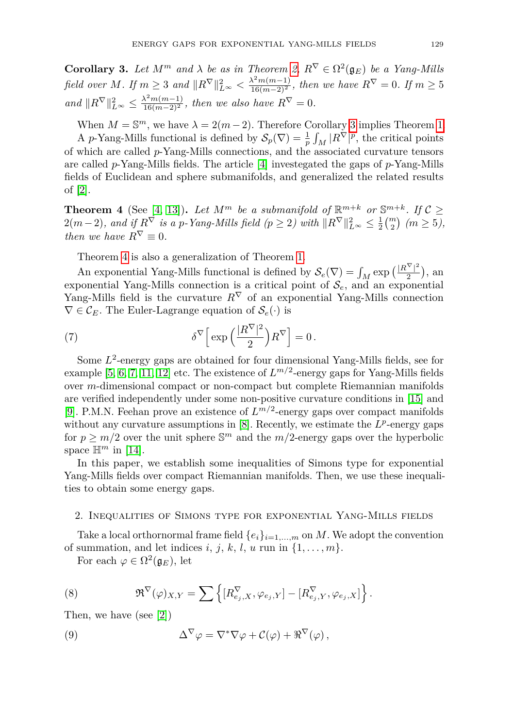**Corollary 3.** Let  $M^m$  and  $\lambda$  be as in Theorem [2,](#page-2-0)  $R^{\nabla} \in \Omega^2(\mathfrak{g}_E)$  be a Yang-Mills *field over M.* If  $m \geq 3$  and  $||R^{\nabla}||_{L^{\infty}}^2 < \frac{\lambda^2 m(m-1)}{16(m-2)^2}$ , then we have  $R^{\nabla} = 0$ *. If*  $m \geq 5$ *and*  $||R^{\nabla}||_{L^{\infty}}^2 \le \frac{\lambda^2 m(m-1)}{16(m-2)^2}$ , then we also have  $R^{\nabla} = 0$ .

When  $M = \mathbb{S}^m$ , we have  $\lambda = 2(m-2)$ . Therefore Corollary [3](#page-2-1) implies Theorem [1.](#page-2-2) A *p*-Yang-Mills functional is defined by  $\mathcal{S}_p(\nabla) = \frac{1}{p} \int_M |R^{\nabla}|^p$ , the critical points of which are called *p*-Yang-Mills connections, and the associated curvature tensors are called *p*-Yang-Mills fields. The article [\[4\]](#page-8-2) investegated the gaps of *p*-Yang-Mills fields of Euclidean and sphere submanifolds, and generalized the related results of [\[2\]](#page-8-0).

<span id="page-3-0"></span>**Theorem 4** (See [\[4,](#page-8-2) [13\]](#page-8-1)). Let  $M^m$  be a submanifold of  $\mathbb{R}^{m+k}$  or  $\mathbb{S}^{m+k}$ . If  $C \geq$  $2(m-2)$ , and if  $R^{\nabla}$  is a *p*-Yang-Mills field (*p* ≥ 2) with  $\|R^{\nabla}\|_{L^{\infty}}^2 \le \frac{1}{2} {m \choose 2}$  (*m* ≥ 5), *then we have*  $R^{\nabla} = 0$ .

Theorem [4](#page-3-0) is also a generalization of Theorem [1.](#page-2-2)

An exponential Yang-Mills functional is defined by  $S_e(\nabla) = \int_M \exp\left(\frac{|R^{\nabla}|^2}{2}\right)$  $\frac{(-1)}{2}$ , an exponential Yang-Mills connection is a critical point of S*e*, and an exponential Yang-Mills field is the curvature  $R^{\nabla}$  of an exponential Yang-Mills connection  $\nabla \in \mathcal{C}_E$ . The Euler-Lagrange equation of  $\mathcal{S}_e(\cdot)$  is

(7) 
$$
\delta^{\nabla} \Big[ \exp \Big( \frac{|R^{\nabla}|^2}{2} \Big) R^{\nabla} \Big] = 0 \, .
$$

Some  $L^2$ -energy gaps are obtained for four dimensional Yang-Mills fields, see for example  $[5, 6, 7, 11, 12]$  $[5, 6, 7, 11, 12]$  $[5, 6, 7, 11, 12]$  $[5, 6, 7, 11, 12]$  $[5, 6, 7, 11, 12]$  $[5, 6, 7, 11, 12]$  $[5, 6, 7, 11, 12]$  $[5, 6, 7, 11, 12]$  $[5, 6, 7, 11, 12]$  etc. The existence of  $L^{m/2}$ -energy gaps for Yang-Mills fields over *m*-dimensional compact or non-compact but complete Riemannian manifolds are verified independently under some non-positive curvature conditions in [\[15\]](#page-8-8) and [\[9\]](#page-8-9). P.M.N. Feehan prove an existence of *L m/*2 -energy gaps over compact manifolds without any curvature assumptions in  $[8]$ . Recently, we estimate the  $L^p$ -energy gaps for  $p \geq m/2$  over the unit sphere  $\mathbb{S}^m$  and the  $m/2$ -energy gaps over the hyperbolic space  $\mathbb{H}^m$  in [\[14\]](#page-8-11).

In this paper, we establish some inequalities of Simons type for exponential Yang-Mills fields over compact Riemannian manifolds. Then, we use these inequalities to obtain some energy gaps.

#### 2. Inequalities of Simons type for exponential Yang-Mills fields

Take a local orthornormal frame field  ${e_i}_{i=1,\dots,m}$  on *M*. We adopt the convention of summation, and let indices *i*, *j*, *k*, *l*, *u* run in  $\{1, \ldots, m\}$ .

For each  $\varphi \in \Omega^2(\mathfrak{g}_E)$ , let

(8) 
$$
\mathfrak{R}^{\nabla}(\varphi)_{X,Y} = \sum \left\{ [R^{\nabla}_{e_j,X}, \varphi_{e_j,Y}] - [R^{\nabla}_{e_j,Y}, \varphi_{e_j,X}] \right\}.
$$

Then, we have (see [\[2\]](#page-8-0))

(9) 
$$
\Delta^{\nabla} \varphi = \nabla^* \nabla \varphi + C(\varphi) + \Re^{\nabla} (\varphi),
$$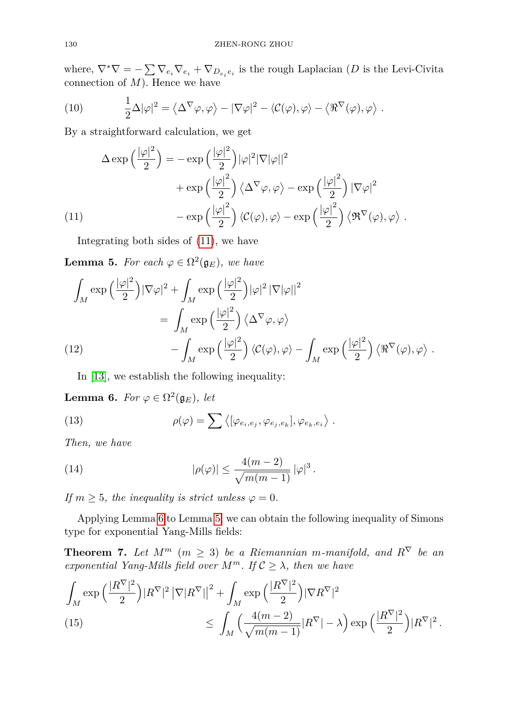where,  $\nabla^* \nabla = -\sum \nabla_{e_i} \nabla_{e_i} + \nabla_{D_{e_i}e_i}$  is the rough Laplacian (*D* is the Levi-Civita connection of *M*). Hence we have

(10) 
$$
\frac{1}{2}\Delta |\varphi|^2 = \langle \Delta^{\nabla} \varphi, \varphi \rangle - |\nabla \varphi|^2 - \langle C(\varphi), \varphi \rangle - \langle \Re^{\nabla} (\varphi), \varphi \rangle.
$$

By a straightforward calculation, we get

(11)  
\n
$$
\Delta \exp\left(\frac{|\varphi|^2}{2}\right) = -\exp\left(\frac{|\varphi|^2}{2}\right)|\varphi|^2|\nabla|\varphi||^2
$$
\n
$$
+\exp\left(\frac{|\varphi|^2}{2}\right)\left\langle\Delta^{\nabla}\varphi,\varphi\right\rangle - \exp\left(\frac{|\varphi|^2}{2}\right)|\nabla\varphi|^2
$$
\n
$$
-\exp\left(\frac{|\varphi|^2}{2}\right)\left\langle\mathcal{C}(\varphi),\varphi\right\rangle - \exp\left(\frac{|\varphi|^2}{2}\right)\left\langle\mathfrak{R}^{\nabla}(\varphi),\varphi\right\rangle.
$$

<span id="page-4-0"></span>Integrating both sides of [\(11\)](#page-4-0), we have

<span id="page-4-2"></span>**Lemma 5.** For each  $\varphi \in \Omega^2(\mathfrak{g}_E)$ , we have

$$
\int_{M} \exp\left(\frac{|\varphi|^2}{2}\right) |\nabla \varphi|^2 + \int_{M} \exp\left(\frac{|\varphi|^2}{2}\right) |\varphi|^2 |\nabla |\varphi||^2
$$
\n
$$
= \int_{M} \exp\left(\frac{|\varphi|^2}{2}\right) \langle \Delta^{\nabla} \varphi, \varphi \rangle
$$
\n(12)\n
$$
- \int_{M} \exp\left(\frac{|\varphi|^2}{2}\right) \langle \mathcal{C}(\varphi), \varphi \rangle - \int_{M} \exp\left(\frac{|\varphi|^2}{2}\right) \langle \Re^{\nabla} (\varphi), \varphi \rangle.
$$

<span id="page-4-3"></span>In [\[13\]](#page-8-1), we establish the following inequality:

<span id="page-4-1"></span>**Lemma 6.** *For*  $\varphi \in \Omega^2(\mathfrak{g}_E)$ *, let* 

(13) 
$$
\rho(\varphi) = \sum \langle [\varphi_{e_i, e_j}, \varphi_{e_j, e_k}], \varphi_{e_k, e_i} \rangle.
$$

*Then, we have*

(14) 
$$
|\rho(\varphi)| \leq \frac{4(m-2)}{\sqrt{m(m-1)}} |\varphi|^3.
$$

*If*  $m \geq 5$ *, the inequality is strict unless*  $\varphi = 0$ *.* 

Applying Lemma [6](#page-4-1) to Lemma [5,](#page-4-2) we can obtain the following inequality of Simons type for exponential Yang-Mills fields:

<span id="page-4-5"></span>**Theorem 7.** *Let*  $M^m$  ( $m \geq 3$ ) *be a Riemannian m-manifold, and*  $R^{\nabla}$  *be an exponential Yang-Mills field over*  $M^m$ *. If*  $C \geq \lambda$ *, then we have* 

<span id="page-4-4"></span>
$$
\int_M \exp\left(\frac{|R^{\nabla}|^2}{2}\right) |R^{\nabla}|^2 |\nabla|R^{\nabla}| \Big|^2 + \int_M \exp\left(\frac{|R^{\nabla}|^2}{2}\right) |\nabla R^{\nabla}|^2
$$
\n(15)\n
$$
\leq \int_M \left(\frac{4(m-2)}{\sqrt{m(m-1)}} |R^{\nabla}| - \lambda\right) \exp\left(\frac{|R^{\nabla}|^2}{2}\right) |R^{\nabla}|^2.
$$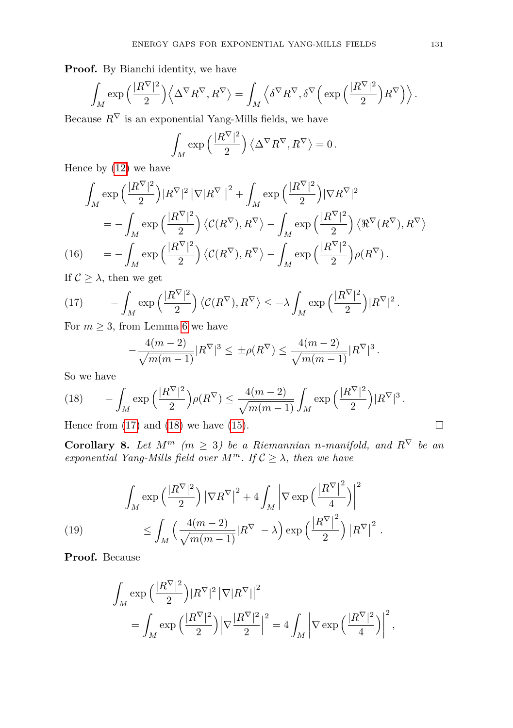Proof. By Bianchi identity, we have

$$
\int_M \exp\Big(\frac{|R^\nabla|^2}{2}\Big) \Big\langle \Delta^\nabla R^\nabla, R^\nabla\Big\rangle = \int_M \Big\langle \delta^\nabla R^\nabla, \delta^\nabla \Big(\exp\Big(\frac{|R^\nabla|^2}{2}\Big) R^\nabla\Big)\Big\rangle\,.
$$

Because  $R^{\nabla}$  is an exponential Yang-Mills fields, we have

$$
\int_M \exp\left(\frac{|R^{\nabla}|^2}{2}\right) \left\langle \Delta^{\nabla} R^{\nabla}, R^{\nabla} \right\rangle = 0.
$$

Hence by [\(12\)](#page-4-3) we have

$$
\int_{M} \exp\left(\frac{|R^{\nabla}|^2}{2}\right) |R^{\nabla}|^2 |\nabla|R^{\nabla}|^2 + \int_{M} \exp\left(\frac{|R^{\nabla}|^2}{2}\right) |\nabla R^{\nabla}|^2
$$
\n
$$
= -\int_{M} \exp\left(\frac{|R^{\nabla}|^2}{2}\right) \langle \mathcal{C}(R^{\nabla}), R^{\nabla} \rangle - \int_{M} \exp\left(\frac{|R^{\nabla}|^2}{2}\right) \langle \Re^{\nabla}(R^{\nabla}), R^{\nabla} \rangle
$$
\n(16)\n
$$
= -\int_{M} \exp\left(\frac{|R^{\nabla}|^2}{2}\right) \langle \mathcal{C}(R^{\nabla}), R^{\nabla} \rangle - \int_{M} \exp\left(\frac{|R^{\nabla}|^2}{2}\right) \rho(R^{\nabla}).
$$
\nIf  $\mathcal{C} > 0$ , then we get

If  $\mathcal{C} \geq \lambda$ , then we get

<span id="page-5-0"></span>(17) 
$$
- \int_M \exp\left(\frac{|R^{\nabla}|^2}{2}\right) \langle \mathcal{C}(R^{\nabla}), R^{\nabla} \rangle \leq -\lambda \int_M \exp\left(\frac{|R^{\nabla}|^2}{2}\right) |R^{\nabla}|^2.
$$

For  $m \geq 3$ , from Lemma [6](#page-4-1) we have

$$
-\frac{4(m-2)}{\sqrt{m(m-1)}}|R^{\nabla}|^3 \le \pm \rho(R^{\nabla}) \le \frac{4(m-2)}{\sqrt{m(m-1)}}|R^{\nabla}|^3.
$$

So we have

<span id="page-5-1"></span>(18) 
$$
- \int_M \exp\left(\frac{|R^{\nabla}|^2}{2}\right) \rho(R^{\nabla}) \le \frac{4(m-2)}{\sqrt{m(m-1)}} \int_M \exp\left(\frac{|R^{\nabla}|^2}{2}\right) |R^{\nabla}|^3.
$$

Hence from [\(17\)](#page-5-0) and [\(18\)](#page-5-1) we have [\(15\)](#page-4-4).

**Corollary 8.** *Let*  $M^m$  *(m \leq 3) be a Riemannian n-manifold, and*  $R^{\nabla}$  *be an exponential Yang-Mills field over*  $M^m$ *. If*  $C \geq \lambda$ *, then we have* 

(19) 
$$
\int_{M} \exp\left(\frac{|R^{\nabla}|^{2}}{2}\right) |\nabla R^{\nabla}|^{2} + 4 \int_{M} \left| \nabla \exp\left(\frac{|R^{\nabla}|^{2}}{4}\right) \right|^{2} \leq \int_{M} \left(\frac{4(m-2)}{\sqrt{m(m-1)}} |R^{\nabla}| - \lambda\right) \exp\left(\frac{|R^{\nabla}|^{2}}{2}\right) |R^{\nabla}|^{2} .
$$

<span id="page-5-2"></span>**Proof.** Because

$$
\begin{split} \int_{M}\exp&\Big(\frac{|R^{\nabla}|^2}{2}\Big)|R^{\nabla}|^2\left|\nabla|R^{\nabla}|\right|^2\\ &=\int_{M}\exp\Big(\frac{|R^{\nabla}|^2}{2}\Big)\Big|\nabla\frac{|R^{\nabla}|^2}{2}\Big|^2=4\int_{M}\left|\nabla\exp\Big(\frac{|R^{\nabla}|^2}{4}\Big)\right|^2, \end{split}
$$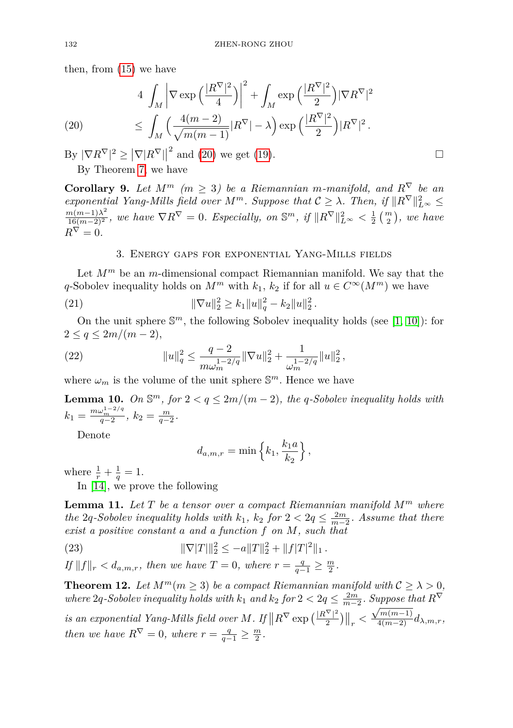then, from [\(15\)](#page-4-4) we have

<span id="page-6-0"></span>(20) 
$$
4 \int_M \left| \nabla \exp\left(\frac{|R^{\nabla}|^2}{4}\right) \right|^2 + \int_M \exp\left(\frac{|R^{\nabla}|^2}{2}\right) |\nabla R^{\nabla}|^2
$$

$$
\leq \int_M \left( \frac{4(m-2)}{\sqrt{m(m-1)}} |R^{\nabla}| - \lambda \right) \exp\left(\frac{|R^{\nabla}|^2}{2}\right) |R^{\nabla}|^2.
$$

 $\frac{1}{2}$   $|\nabla R^{\nabla}|^2 \ge |\nabla |R^{\nabla}|$  $^2$  and [\(20\)](#page-6-0) we get [\(19\)](#page-5-2). By Theorem [7,](#page-4-5) we have

**Corollary 9.** *Let*  $M^m$  *(m \ine 3) be a Riemannian m-manifold, and*  $R^{\nabla}$  *be an exponential Yang-Mills field over*  $M^m$ *. Suppose that*  $C \geq \lambda$ *. Then, if*  $||R^{\nabla}||_{L^{\infty}}^2 \leq$  $\frac{m(m-1)\lambda^2}{16(m-2)^2}$ , we have  $\nabla R^{\nabla} = 0$ . Especially, on  $\mathbb{S}^m$ , if  $\|R^{\nabla}\|_{L^{\infty}}^2 < \frac{1}{2} \binom{m}{2}$ , we have  $R^{\nabla}=0.$ 

### 3. Energy gaps for exponential Yang-Mills fields

Let  $M^m$  be an *m*-dimensional compact Riemannian manifold. We say that the *q*-Sobolev inequality holds on  $M^m$  with  $k_1, k_2$  if for all  $u \in C^\infty(M^m)$  we have

(21) 
$$
\|\nabla u\|_2^2 \ge k_1 \|u\|_q^2 - k_2 \|u\|_2^2.
$$

On the unit sphere  $\mathbb{S}^m$ , the following Sobolev inequality holds (see [\[1,](#page-8-12) [10\]](#page-8-13)): for  $2 \leq q \leq 2m/(m-2)$ ,

(22) 
$$
||u||_q^2 \le \frac{q-2}{m\omega_m^{1-2/q}} ||\nabla u||_2^2 + \frac{1}{\omega_m^{1-2/q}} ||u||_2^2,
$$

where  $\omega_m$  is the volume of the unit sphere  $\mathbb{S}^m$ . Hence we have

**Lemma 10.** On  $\mathbb{S}^m$ , for  $2 < q \leq 2m/(m-2)$ , the *q*-Sobolev inequality holds with  $k_1 = \frac{m\omega_m^{1-2/q}}{q-2}, k_2 = \frac{m}{q-2}.$ 

Denote

$$
d_{a,m,r} = \min\left\{k_1, \frac{k_1 a}{k_2}\right\},\,
$$

where  $\frac{1}{r} + \frac{1}{q} = 1$ . In [\[14\]](#page-8-11), we prove the following

<span id="page-6-1"></span>**Lemma 11.** *Let T be a tensor over a compact Riemannian manifold M<sup>m</sup> where the* 2*q-Sobolev inequality holds with*  $k_1$ ,  $k_2$  *for*  $2 < 2q \le \frac{2m}{m-2}$ *. Assume that there exist a positive constant a and a function f on M, such that*

(23)  $\|\nabla |T|\|_2^2 \leq -a \|T\|_2^2 + \|f|T|^2\|_1.$ 

*If*  $||f||_r < d_{a,m,r}$ *, then we have*  $T = 0$ *, where*  $r = \frac{q}{q-1} \ge \frac{m}{2}$ *.* 

<span id="page-6-2"></span>**Theorem 12.** Let  $M^m(m \geq 3)$  be a compact Riemannian manifold with  $C \geq \lambda > 0$ , *where* 2*q-Sobolev inequality holds with*  $k_1$  *and*  $k_2$  *for*  $2 < 2q \le \frac{2m}{m-2}$ *. Suppose that*  $R^{\nabla}$ 

*is an exponential Yang-Mills field over M. If*  $\|R^{\nabla} \exp\left(\frac{|R^{\nabla}|^2}{2}\right)$  $\frac{\left|\sqrt{\frac{N}{2}}\right|^2}{2}\Big|\Big|_r < \frac{\sqrt{m(m-1)}}{4(m-2)}d_{\lambda,m,r},$ *then we have*  $R^{\nabla} = 0$ *, where*  $r = \frac{q}{q-1} \ge \frac{m}{2}$ *.* 

$$
\Box
$$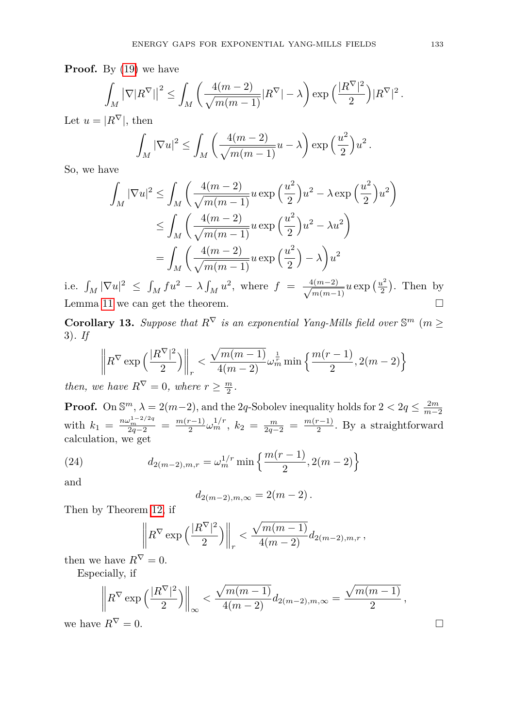**Proof.** By [\(19\)](#page-5-2) we have

$$
\int_M \left|\nabla |R^{\nabla}|\right|^2 \leq \int_M \left(\frac{4(m-2)}{\sqrt{m(m-1)}}|R^{\nabla}| - \lambda\right) \exp\left(\frac{|R^{\nabla}|^2}{2}\right) |R^{\nabla}|^2.
$$

Let  $u = |R^{\nabla}|$ , then

$$
\int_M |\nabla u|^2 \le \int_M \left(\frac{4(m-2)}{\sqrt{m(m-1)}}u - \lambda\right) \exp\left(\frac{u^2}{2}\right)u^2.
$$

So, we have

$$
\int_M |\nabla u|^2 \le \int_M \left( \frac{4(m-2)}{\sqrt{m(m-1)}} u \exp\left(\frac{u^2}{2}\right) u^2 - \lambda \exp\left(\frac{u^2}{2}\right) u^2 \right)
$$
  

$$
\le \int_M \left( \frac{4(m-2)}{\sqrt{m(m-1)}} u \exp\left(\frac{u^2}{2}\right) u^2 - \lambda u^2 \right)
$$
  

$$
= \int_M \left( \frac{4(m-2)}{\sqrt{m(m-1)}} u \exp\left(\frac{u^2}{2}\right) - \lambda \right) u^2
$$

i.e.  $\int_M |\nabla u|^2 \leq \int_M fu^2 - \lambda \int_M u^2$ , where  $f = \frac{4(m-2)}{\sqrt{m(m-2)}}$  $\frac{4(m-2)}{m(m-1)}$ *u* exp  $\left(\frac{u^2}{2}\right)$  $\frac{u^2}{2}$ ). Then by Lemma [11](#page-6-1) we can get the theorem.

**Corollary 13.** Suppose that  $R^{\nabla}$  is an exponential Yang-Mills field over  $\mathbb{S}^m$  ( $m \geq$ 3)*. If*

$$
\left\| R^{\nabla} \exp\left(\frac{|R^{\nabla}|^2}{2}\right) \right\|_r < \frac{\sqrt{m(m-1)}}{4(m-2)} \omega_m^{\frac{1}{r}} \min\left\{ \frac{m(r-1)}{2}, 2(m-2) \right\}
$$

*then, we have*  $R^{\nabla} = 0$ *, where*  $r \geq \frac{m}{2}$ *.* 

**Proof.** On  $\mathbb{S}^m$ ,  $\lambda = 2(m-2)$ , and the 2*q*-Sobolev inequality holds for  $2 < 2q \leq \frac{2m}{m-2}$ *m*−2 with  $k_1 = \frac{n\omega_m^{1-2/2q}}{2q-2} = \frac{m(r-1)}{2}$  $\frac{(n-1)}{2}\omega_m^{1/r}, k_2 = \frac{m}{2q-2} = \frac{m(r-1)}{2}$  $\frac{r-1}{2}$ . By a straightforward calculation, we get

(24) 
$$
d_{2(m-2),m,r} = \omega_m^{1/r} \min \left\{ \frac{m(r-1)}{2}, 2(m-2) \right\}
$$

and

$$
d_{2(m-2),m,\infty} = 2(m-2).
$$

Then by Theorem [12,](#page-6-2) if

$$
\left\| R^{\nabla} \exp \left( \frac{|R^{\nabla}|^2}{2} \right) \right\|_r < \frac{\sqrt{m(m-1)}}{4(m-2)} d_{2(m-2),m,r},
$$

then we have  $R^{\nabla} = 0$ .

Especially, if

$$
\left\|R^{\nabla}\exp\left(\frac{|R^{\nabla}|^2}{2}\right)\right\|_{\infty}<\frac{\sqrt{m(m-1)}}{4(m-2)}d_{2(m-2),m,\infty}=\frac{\sqrt{m(m-1)}}{2}\,,
$$
 we have  $R^{\nabla}=0.$